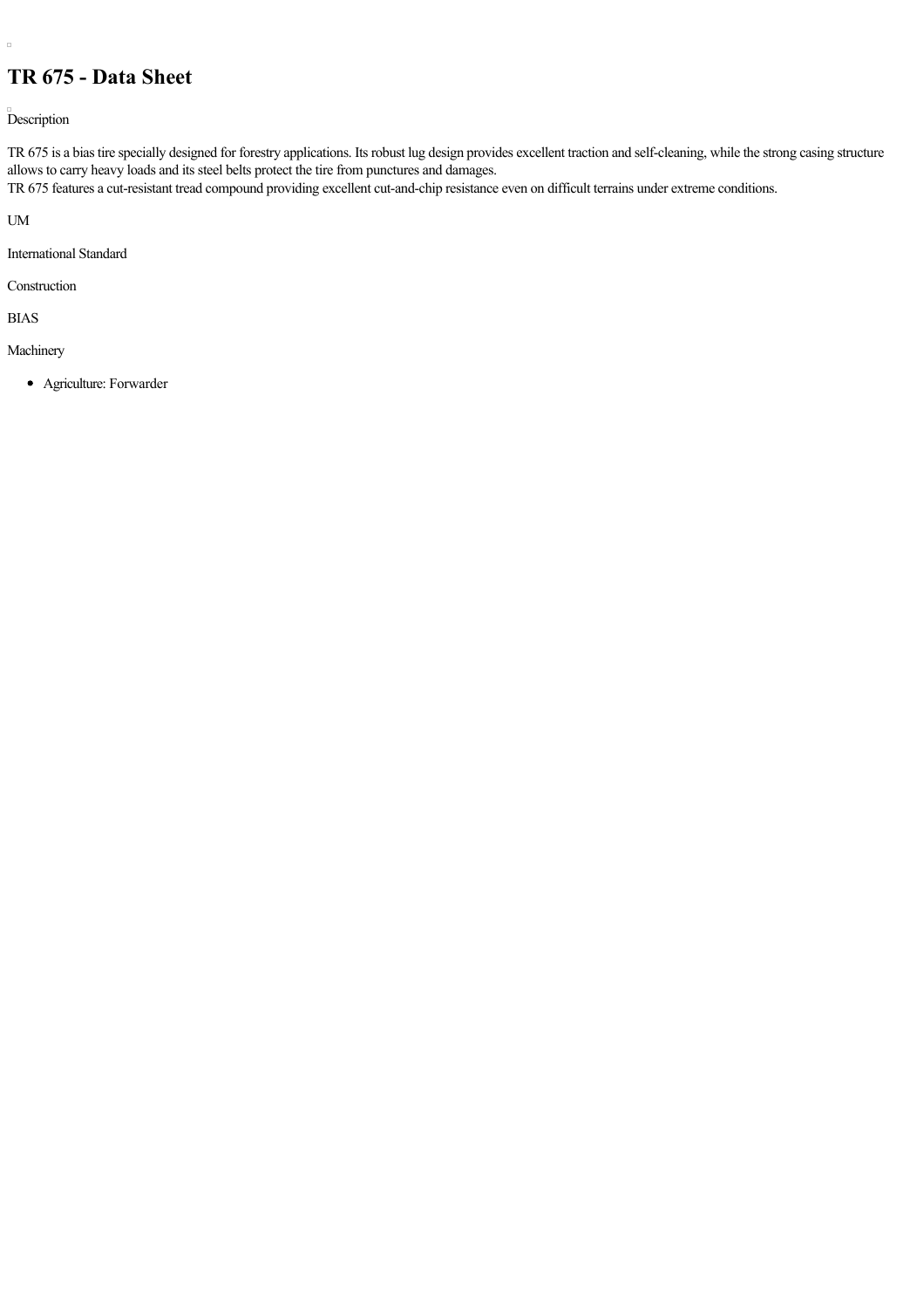## **TR 675 Data Sheet**

Description

TR 675 is a bias tire specially designed for forestry applications. Its robust lug design provides excellent traction and self-cleaning, while the strong casing structure allows to carry heavy loads and its steel belts protect the tire from punctures and damages.

TR 675 features a cut-resistant tread compound providing excellent cut-and-chip resistance even on difficult terrains under extreme conditions.

UM

 $\Box$ 

International Standard

Construction

BIAS

Machinery

Agriculture: Forwarder